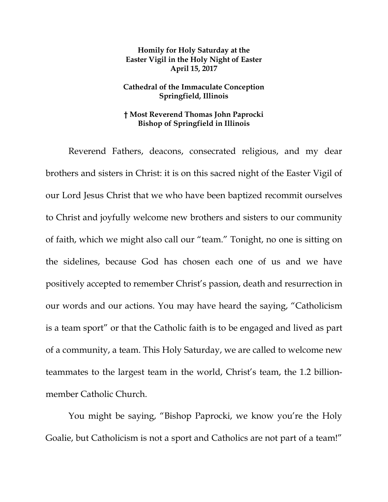## **Homily for Holy Saturday at the Easter Vigil in the Holy Night of Easter April 15, 2017**

## **Cathedral of the Immaculate Conception Springfield, Illinois**

## **† Most Reverend Thomas John Paprocki Bishop of Springfield in Illinois**

Reverend Fathers, deacons, consecrated religious, and my dear brothers and sisters in Christ: it is on this sacred night of the Easter Vigil of our Lord Jesus Christ that we who have been baptized recommit ourselves to Christ and joyfully welcome new brothers and sisters to our community of faith, which we might also call our "team." Tonight, no one is sitting on the sidelines, because God has chosen each one of us and we have positively accepted to remember Christ's passion, death and resurrection in our words and our actions. You may have heard the saying, "Catholicism is a team sport" or that the Catholic faith is to be engaged and lived as part of a community, a team. This Holy Saturday, we are called to welcome new teammates to the largest team in the world, Christ's team, the 1.2 billionmember Catholic Church.

You might be saying, "Bishop Paprocki, we know you're the Holy Goalie, but Catholicism is not a sport and Catholics are not part of a team!"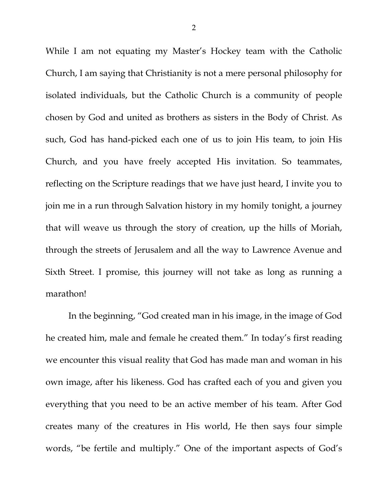While I am not equating my Master's Hockey team with the Catholic Church, I am saying that Christianity is not a mere personal philosophy for isolated individuals, but the Catholic Church is a community of people chosen by God and united as brothers as sisters in the Body of Christ. As such, God has hand-picked each one of us to join His team, to join His Church, and you have freely accepted His invitation. So teammates, reflecting on the Scripture readings that we have just heard, I invite you to join me in a run through Salvation history in my homily tonight, a journey that will weave us through the story of creation, up the hills of Moriah, through the streets of Jerusalem and all the way to Lawrence Avenue and Sixth Street. I promise, this journey will not take as long as running a marathon!

In the beginning, "God created man in his image, in the image of God he created him, male and female he created them." In today's first reading we encounter this visual reality that God has made man and woman in his own image, after his likeness. God has crafted each of you and given you everything that you need to be an active member of his team. After God creates many of the creatures in His world, He then says four simple words, "be fertile and multiply." One of the important aspects of God's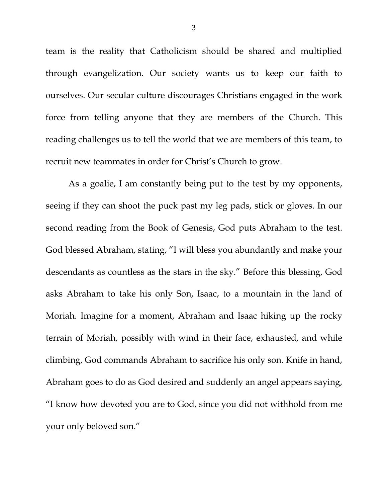team is the reality that Catholicism should be shared and multiplied through evangelization. Our society wants us to keep our faith to ourselves. Our secular culture discourages Christians engaged in the work force from telling anyone that they are members of the Church. This reading challenges us to tell the world that we are members of this team, to recruit new teammates in order for Christ's Church to grow.

As a goalie, I am constantly being put to the test by my opponents, seeing if they can shoot the puck past my leg pads, stick or gloves. In our second reading from the Book of Genesis, God puts Abraham to the test. God blessed Abraham, stating, "I will bless you abundantly and make your descendants as countless as the stars in the sky." Before this blessing, God asks Abraham to take his only Son, Isaac, to a mountain in the land of Moriah. Imagine for a moment, Abraham and Isaac hiking up the rocky terrain of Moriah, possibly with wind in their face, exhausted, and while climbing, God commands Abraham to sacrifice his only son. Knife in hand, Abraham goes to do as God desired and suddenly an angel appears saying, "I know how devoted you are to God, since you did not withhold from me your only beloved son."

3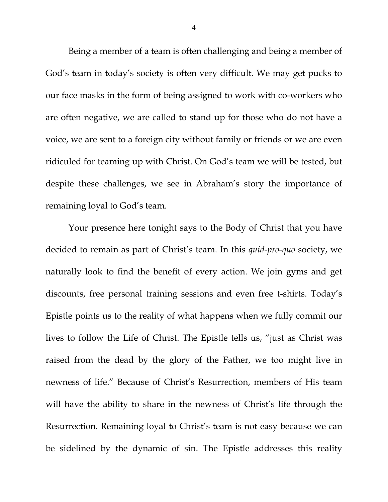Being a member of a team is often challenging and being a member of God's team in today's society is often very difficult. We may get pucks to our face masks in the form of being assigned to work with co-workers who are often negative, we are called to stand up for those who do not have a voice, we are sent to a foreign city without family or friends or we are even ridiculed for teaming up with Christ. On God's team we will be tested, but despite these challenges, we see in Abraham's story the importance of remaining loyal to God's team.

Your presence here tonight says to the Body of Christ that you have decided to remain as part of Christ's team. In this *quid-pro-quo* society, we naturally look to find the benefit of every action. We join gyms and get discounts, free personal training sessions and even free t-shirts. Today's Epistle points us to the reality of what happens when we fully commit our lives to follow the Life of Christ. The Epistle tells us, "just as Christ was raised from the dead by the glory of the Father, we too might live in newness of life." Because of Christ's Resurrection, members of His team will have the ability to share in the newness of Christ's life through the Resurrection. Remaining loyal to Christ's team is not easy because we can be sidelined by the dynamic of sin. The Epistle addresses this reality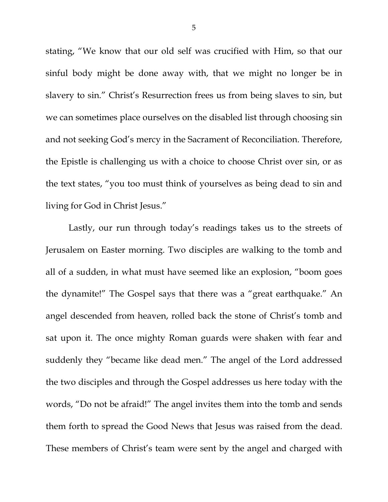stating, "We know that our old self was crucified with Him, so that our sinful body might be done away with, that we might no longer be in slavery to sin." Christ's Resurrection frees us from being slaves to sin, but we can sometimes place ourselves on the disabled list through choosing sin and not seeking God's mercy in the Sacrament of Reconciliation. Therefore, the Epistle is challenging us with a choice to choose Christ over sin, or as the text states, "you too must think of yourselves as being dead to sin and living for God in Christ Jesus."

Lastly, our run through today's readings takes us to the streets of Jerusalem on Easter morning. Two disciples are walking to the tomb and all of a sudden, in what must have seemed like an explosion, "boom goes the dynamite!" The Gospel says that there was a "great earthquake." An angel descended from heaven, rolled back the stone of Christ's tomb and sat upon it. The once mighty Roman guards were shaken with fear and suddenly they "became like dead men." The angel of the Lord addressed the two disciples and through the Gospel addresses us here today with the words, "Do not be afraid!" The angel invites them into the tomb and sends them forth to spread the Good News that Jesus was raised from the dead. These members of Christ's team were sent by the angel and charged with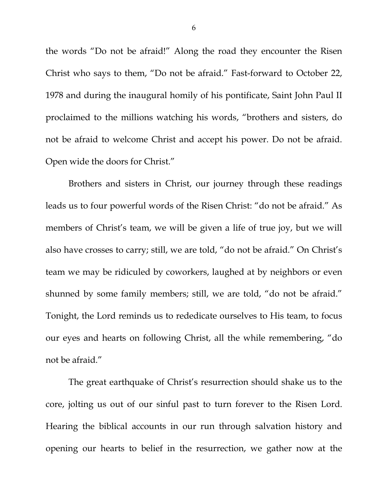the words "Do not be afraid!" Along the road they encounter the Risen Christ who says to them, "Do not be afraid." Fast-forward to October 22, 1978 and during the inaugural homily of his pontificate, Saint John Paul II proclaimed to the millions watching his words, "brothers and sisters, do not be afraid to welcome Christ and accept his power. Do not be afraid. Open wide the doors for Christ."

Brothers and sisters in Christ, our journey through these readings leads us to four powerful words of the Risen Christ: "do not be afraid." As members of Christ's team, we will be given a life of true joy, but we will also have crosses to carry; still, we are told, "do not be afraid." On Christ's team we may be ridiculed by coworkers, laughed at by neighbors or even shunned by some family members; still, we are told, "do not be afraid." Tonight, the Lord reminds us to rededicate ourselves to His team, to focus our eyes and hearts on following Christ, all the while remembering, "do not be afraid."

The great earthquake of Christ's resurrection should shake us to the core, jolting us out of our sinful past to turn forever to the Risen Lord. Hearing the biblical accounts in our run through salvation history and opening our hearts to belief in the resurrection, we gather now at the

6